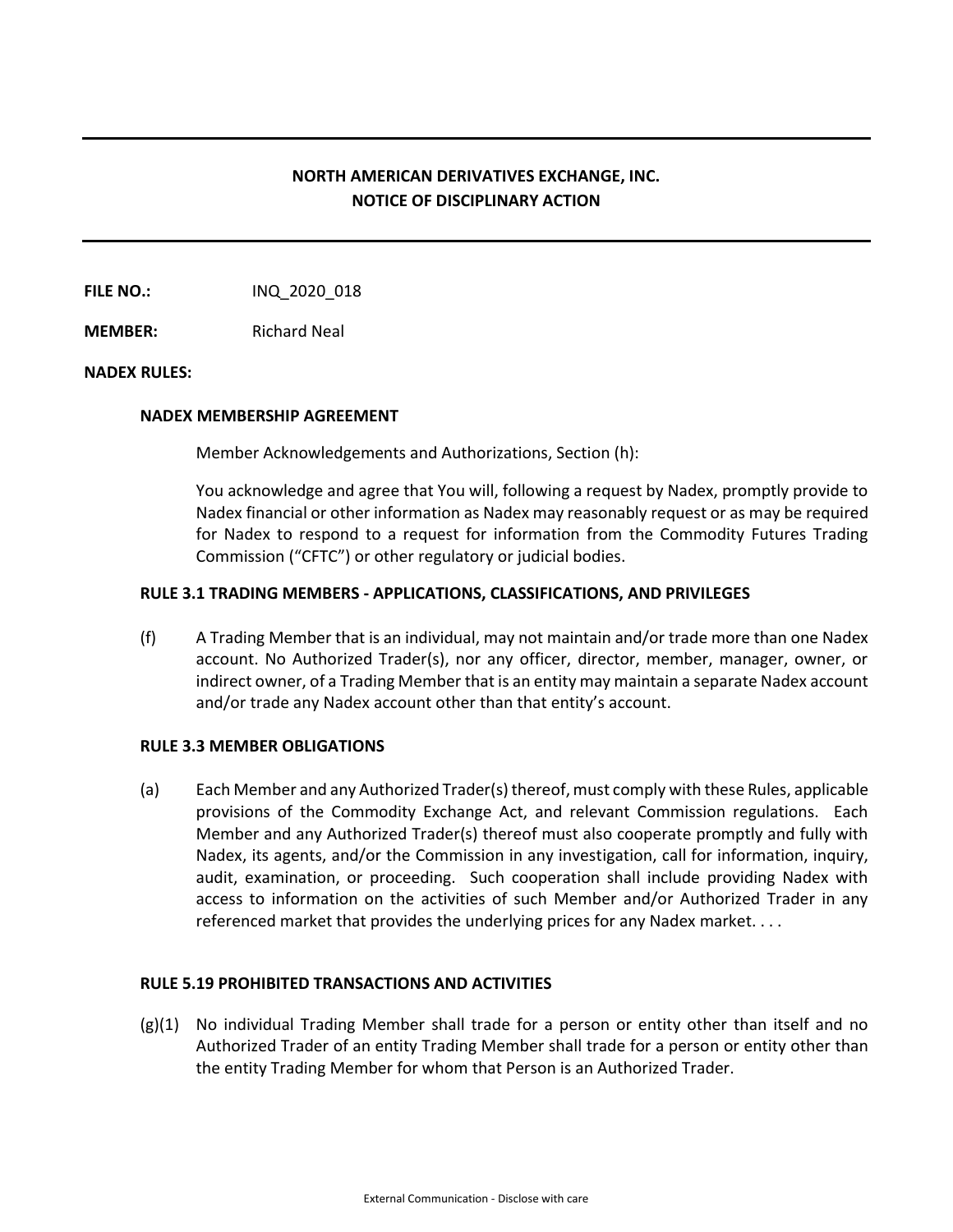# **NORTH AMERICAN DERIVATIVES EXCHANGE, INC. NOTICE OF DISCIPLINARY ACTION**

**FILE NO.:** INQ 2020 018

**MEMBER:** Richard Neal

## **NADEX RULES:**

### **NADEX MEMBERSHIP AGREEMENT**

Member Acknowledgements and Authorizations, Section (h):

You acknowledge and agree that You will, following a request by Nadex, promptly provide to Nadex financial or other information as Nadex may reasonably request or as may be required for Nadex to respond to a request for information from the Commodity Futures Trading Commission ("CFTC") or other regulatory or judicial bodies.

## **RULE 3.1 TRADING MEMBERS - APPLICATIONS, CLASSIFICATIONS, AND PRIVILEGES**

(f) A Trading Member that is an individual, may not maintain and/or trade more than one Nadex account. No Authorized Trader(s), nor any officer, director, member, manager, owner, or indirect owner, of a Trading Member that is an entity may maintain a separate Nadex account and/or trade any Nadex account other than that entity's account.

## **RULE 3.3 MEMBER OBLIGATIONS**

(a) Each Member and any Authorized Trader(s) thereof, must comply with these Rules, applicable provisions of the Commodity Exchange Act, and relevant Commission regulations. Each Member and any Authorized Trader(s) thereof must also cooperate promptly and fully with Nadex, its agents, and/or the Commission in any investigation, call for information, inquiry, audit, examination, or proceeding. Such cooperation shall include providing Nadex with access to information on the activities of such Member and/or Authorized Trader in any referenced market that provides the underlying prices for any Nadex market. . . .

## **RULE 5.19 PROHIBITED TRANSACTIONS AND ACTIVITIES**

(g)(1) No individual Trading Member shall trade for a person or entity other than itself and no Authorized Trader of an entity Trading Member shall trade for a person or entity other than the entity Trading Member for whom that Person is an Authorized Trader.